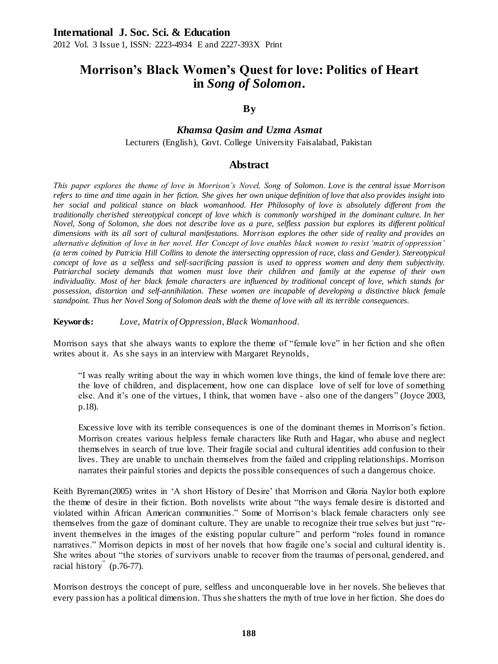# **Morrison's Black Women's Quest for love: Politics of Heart in** *Song of Solomon***.**

## **By**

## *Khamsa Qasim and Uzma Asmat* Lecturers (English), Govt. College University Faisalabad, Pakistan

## **Abstract**

*This paper explores the theme of love in Morrison's Novel, Song of Solomon. Love is the central issue Morrison refers to time and time again in her fiction. She gives her own unique definition of love that also provides insight into her social and political stance on black womanhood. Her Philosophy of love is absolutely different from the traditionally cherished stereotypical concept of love which is commonly worshiped in the dominant culture. In her Novel, Song of Solomon, she does not describe love as a pure, selfless passion but explores its different political dimensions with its all sort of cultural manifestations. Morrison explores the other side of reality and provides an alternative definition of love in her novel. Her Concept of love enables black women to resist 'matrix of oppression' (a term coined by Patricia Hill Collins to denote the intersecting oppression of race, class and Gender). Stereotypical*  concept of love as a selfless and self-sacrificing passion is used to oppress women and deny them subjectivity. *Patriarchal society demands that women must love their children and family at the expense of their own individuality. Most of her black female characters are influenced by traditional concept of love, which stands for*  possession, distortion and self-annihilation. These women are incapable of developing a distinctive black female *standpoint. Thus her Novel Song of Solomon deals with the theme of love with all its terrible consequences.*

**Keywords:** *Love, Matrix of Oppression, Black Womanhood.*

Morrison says that she always wants to explore the theme of "female love" in her fiction and she often writes about it. As she says in an interview with Margaret Reynolds,

"I was really writing about the way in which women love things, the kind of female love there are: the love of children, and displacement, how one can displace love of self for love of something else. And it's one of the virtues, I think, that women have - also one of the dangers" (Joyce 2003, p.18).

Excessive love with its terrible consequences is one of the dominant themes in Morrison's fiction. Morrison creates various helpless female characters like Ruth and Hagar, who abuse and neglect themselves in search of true love. Their fragile social and cultural identities add confusion to their lives. They are unable to unchain themselves from the failed and crippling relationships. Morrison narrates their painful stories and depicts the possible consequences of such a dangerous choice.

Keith Byreman(2005) writes in 'A short History of Desire' that Morrison and Gloria Naylor both explore the theme of desire in their fiction. Both novelists write about "the ways female desire is distorted and violated within African American communities." Some of Morrison's black female characters only see themselves from the gaze of dominant culture. They are unable to recognize their true selves but just "reinvent themselves in the images of the existing popular culture" and perform "roles found in romance narratives." Morrison depicts in most of her novels that how fragile one's social and cultural identity is. She writes about "the stories of survivors unable to recover from the traumas of personal, gendered, and racial history<sup>"</sup> (p.76-77).

Morrison destroys the concept of pure, selfless and unconquerable love in her novels. She believes that every passion has a political dimension. Thus she shatters the myth of true love in her fiction. She does do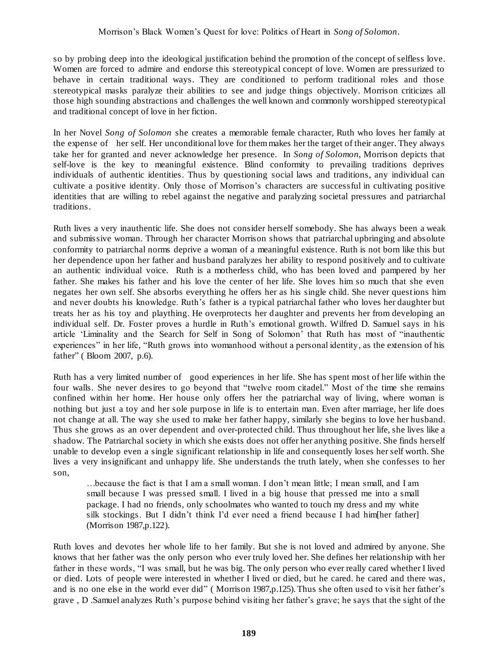so by probing deep into the ideological justification behind the promotion of the concept of selfless love. Women are forced to admire and endorse this stereotypical concept of love. Women are pressurized to behave in certain traditional ways. They are conditioned to perform traditional roles and those stereotypical masks paralyze their abilities to see and judge things objectively. Morrison criticizes all those high sounding abstractions and challenges the well known and commonly worshipped stereotypical and traditional concept of love in her fiction.

In her Novel *Song of Solomon* she creates a memorable female character, Ruth who loves her family at the expense of her self. Her unconditional love for them makes her the target of their anger. They always take her for granted and never acknowledge her presence. In *Song of Solomon*, Morrison depicts that self-love is the key to meaningful existence. Blind conformity to prevailing traditions deprives individuals of authentic identities. Thus by questioning social laws and traditions, any individual can cultivate a positive identity. Only those of Morrison's characters are successful in cultivating positive identities that are willing to rebel against the negative and paralyzing societal pressures and patriarchal traditions.

Ruth lives a very inauthentic life. She does not consider herself somebody. She has always been a weak and submissive woman. Through her character Morrison shows that patriarchal upbringing and absolute conformity to patriarchal norms deprive a woman of a meaningful existence. Ruth is not born like this but her dependence upon her father and husband paralyzes her ability to respond positively and to cultivate an authentic individual voice. Ruth is a motherless child, who has been loved and pampered by her father. She makes his father and his love the center of her life. She loves him so much that she even negates her own self. She absorbs everything he offers her as his single child. She never questions him and never doubts his knowledge. Ruth's father is a typical patriarchal father who loves her daughter but treats her as his toy and plaything. He overprotects her daughter and prevents her from developing an individual self. Dr. Foster proves a hurdle in Ruth's emotional growth. Wilfred D. Samuel says in his article 'Liminality and the Search for Self in Song of Solomon' that Ruth has most of "inauthentic experiences" in her life, "Ruth grows into womanhood without a personal identity, as the extension of his father" ( Bloom 2007, p.6).

Ruth has a very limited number of good experiences in her life. She has spent most of her life within the four walls. She never desires to go beyond that "twelve room citadel." Most of the time she remains confined within her home. Her house only offers her the patriarchal way of living, where woman is nothing but just a toy and her sole purpose in life is to entertain man. Even after marriage, her life does not change at all. The way she used to make her father happy, similarly she begins to love her husband. Thus she grows as an over dependent and over-protected child. Thus throughout her life, she lives like a shadow. The Patriarchal society in which she exists does not offer her anything positive. She finds herself unable to develop even a single significant relationship in life and consequently loses her self worth. She lives a very insignificant and unhappy life. She understands the truth lately, when she confesses to her son,

…because the fact is that I am a small woman. I don't mean little; I mean small, and I am small because I was pressed small. I lived in a big house that pressed me into a small package. I had no friends, only schoolmates who wanted to touch my dress and my white silk stockings. But I didn't think I'd ever need a friend because I had him[her father] (Morrison 1987,p.122).

Ruth loves and devotes her whole life to her family. But she is not loved and admired by anyone. She knows that her father was the only person who ever truly loved her. She defines her relationship with her father in these words, "I was small, but he was big. The only person who ever really cared whether I lived or died. Lots of people were interested in whether I lived or died, but he cared. he cared and there was, and is no one else in the world ever did" ( Morrison 1987,p.125).Thus she often used to visit her father's grave , D .Samuel analyzes Ruth's purpose behind visiting her father's grave; he says that the sight of the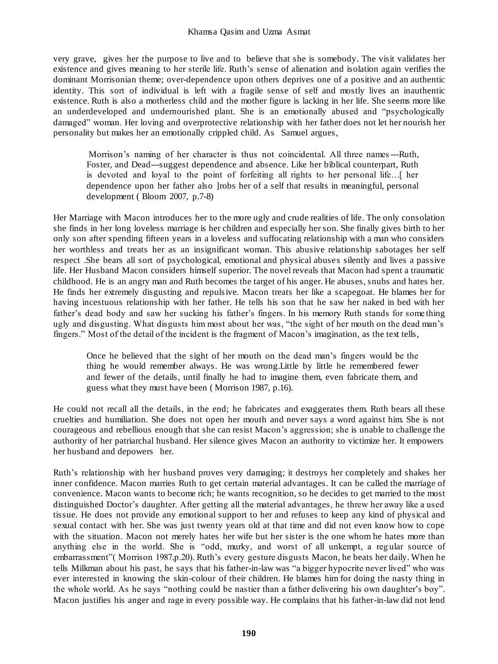very grave, gives her the purpose to live and to believe that she is somebody. The visit validates her existence and gives meaning to her sterile life. Ruth's sense of alienation and isolation again verifies the dominant Morrisonian theme; over-dependence upon others deprives one of a positive and an authentic identity. This sort of individual is left with a fragile sense of self and mostly lives an inauthentic existence. Ruth is also a motherless child and the mother figure is lacking in her life. She seems more like an underdeveloped and undernourished plant. She is an emotionally abused and "psychologically damaged" woman. Her loving and overprotective relationship with her father does not let her nourish her personality but makes her an emotionally crippled child. As Samuel argues,

Morrison's naming of her character is thus not coincidental. All three names---Ruth, Foster, and Dead---suggest dependence and absence. Like her biblical counterpart, Ruth is devoted and loyal to the point of forfeiting all rights to her personal life…[ her dependence upon her father also ]robs her of a self that results in meaningful, personal development ( Bloom 2007, p.7-8)

Her Marriage with Macon introduces her to the more ugly and crude realities of life. The only consolation she finds in her long loveless marriage is her children and especially her son. She finally gives birth to her only son after spending fifteen years in a loveless and suffocating relationship with a man who considers her worthless and treats her as an insignificant woman. This abusive relationship sabotages her self respect .She bears all sort of psychological, emotional and physical abuses silently and lives a passive life. Her Husband Macon considers himself superior. The novel reveals that Macon had spent a traumatic childhood. He is an angry man and Ruth becomes the target of his anger. He abuses, snubs and hates her. He finds her extremely disgusting and repulsive. Macon treats her like a scapegoat. He blames her for having incestuous relationship with her father. He tells his son that he saw her naked in bed with her father's dead body and saw her sucking his father's fingers. In his memory Ruth stands for some thing ugly and disgusting. What disgusts him most about her was, "the sight of her mouth on the dead man's fingers." Most of the detail of the incident is the fragment of Macon's imagination, as the text tells,

Once he believed that the sight of her mouth on the dead man's fingers would be the thing he would remember always. He was wrong.Little by little he remembered fewer and fewer of the details, until finally he had to imagine them, even fabricate them, and guess what they must have been ( Morrison 1987, p.16).

He could not recall all the details, in the end; he fabricates and exaggerates them. Ruth bears all these cruelties and humiliation. She does not open her mouth and never says a word against him. She is not courageous and rebellious enough that she can resist Macon's aggression; she is unable to challenge the authority of her patriarchal husband. Her silence gives Macon an authority to victimize her. It empowers her husband and depowers her.

Ruth's relationship with her husband proves very damaging; it destroys her completely and shakes her inner confidence. Macon marries Ruth to get certain material advantages. It can be called the marriage of convenience. Macon wants to become rich; he wants recognition, so he decides to get married to the most distinguished Doctor's daughter. After getting all the material advantages, he threw her away like a used tissue. He does not provide any emotional support to her and refuses to keep any kind of physical and sexual contact with her. She was just twenty years old at that time and did not even know how to cope with the situation. Macon not merely hates her wife but her sister is the one whom he hates more than anything else in the world. She is "odd, murky, and worst of all unkempt, a regular source of embarrassment"( Morrison 1987,p.20). Ruth's every gesture disgusts Macon, he beats her daily. When he tells Milkman about his past, he says that his father-in-law was "a bigger hypocrite never lived" who was ever interested in knowing the skin-colour of their children. He blames him for doing the nasty thing in the whole world. As he says "nothing could be nastier than a father delivering his own daughter's boy". Macon justifies his anger and rage in every possible way. He complains that his father-in-law did not lend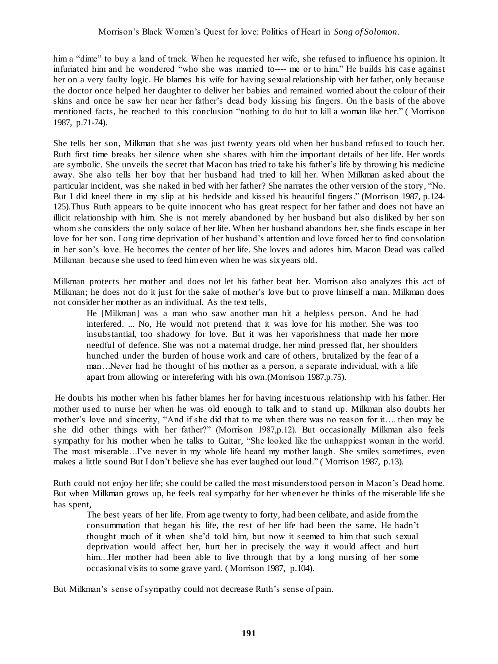him a "dime" to buy a land of track. When he requested her wife, she refused to influence his opinion. It infuriated him and he wondered "who she was married to---- me or to him." He builds his case against her on a very faulty logic. He blames his wife for having sexual relationship with her father, only because the doctor once helped her daughter to deliver her babies and remained worried about the colour of their skins and once he saw her near her father's dead body kissing his fingers. On the basis of the above mentioned facts, he reached to this conclusion "nothing to do but to kill a woman like her." ( Morrison 1987, p.71-74).

She tells her son, Milkman that she was just twenty years old when her husband refused to touch her. Ruth first time breaks her silence when she shares with him the important details of her life. Her words are symbolic. She unveils the secret that Macon has tried to take his father's life by throwing his medicine away. She also tells her boy that her husband had tried to kill her. When Milkman asked about the particular incident, was she naked in bed with her father? She narrates the other version of the story, "No. But I did kneel there in my slip at his bedside and kissed his beautiful fingers." (Morrison 1987, p.124- 125).Thus Ruth appears to be quite innocent who has great respect for her father and does not have an illicit relationship with him. She is not merely abandoned by her husband but also disliked by her son whom she considers the only solace of her life. When her husband abandons her, she finds escape in her love for her son. Long time deprivation of her husband's attention and love forced her to find consolation in her son's love. He becomes the center of her life. She loves and adores him. Macon Dead was called Milkman because she used to feed him even when he was six years old.

Milkman protects her mother and does not let his father beat her. Morrison also analyzes this act of Milkman; he does not do it just for the sake of mother's love but to prove himself a man. Milkman does not consider her mother as an individual. As the text tells,

He [Milkman] was a man who saw another man hit a helpless person. And he had interfered. ... No, He would not pretend that it was love for his mother. She was too insubstantial, too shadowy for love. But it was her vaporishness that made her more needful of defence. She was not a maternal drudge, her mind pressed flat, her shoulders hunched under the burden of house work and care of others, brutalized by the fear of a man…Never had he thought of his mother as a person, a separate individual, with a life apart from allowing or interefering with his own.(Morrison 1987,p.75).

He doubts his mother when his father blames her for having incestuous relationship with his father. Her mother used to nurse her when he was old enough to talk and to stand up. Milkman also doubts her mother's love and sincerity, "And if she did that to me when there was no reason for it…. then may be she did other things with her father?" (Morrison 1987,p.12). But occasionally Milkman also feels sympathy for his mother when he talks to Guitar, "She looked like the unhappiest woman in the world. The most miserable…I've never in my whole life heard my mother laugh. She smiles sometimes, even makes a little sound But I don't believe she has ever laughed out loud." ( Morrison 1987, p.13).

Ruth could not enjoy her life; she could be called the most misunderstood person in Macon's Dead home. But when Milkman grows up, he feels real sympathy for her whenever he thinks of the miserable life she has spent,

The best years of her life. From age twenty to forty, had been celibate, and aside from the consummation that began his life, the rest of her life had been the same. He hadn't thought much of it when she'd told him, but now it seemed to him that such sexual deprivation would affect her, hurt her in precisely the way it would affect and hurt him. Her mother had been able to live through that by a long nursing of her some occasional visits to some grave yard. ( Morrison 1987, p.104).

But Milkman's sense of sympathy could not decrease Ruth's sense of pain.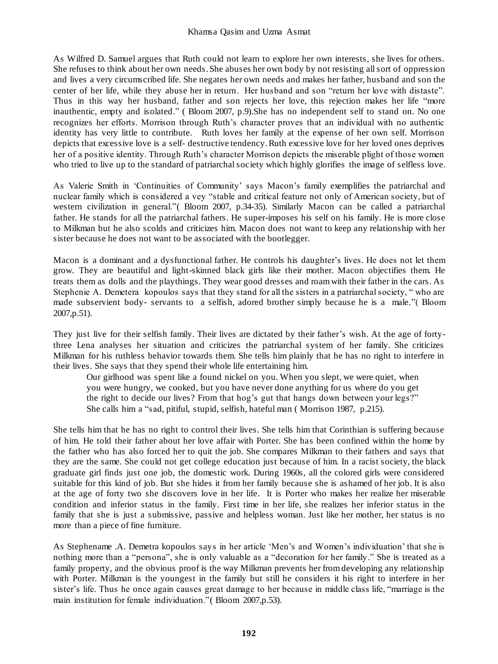As Wilfred D. Samuel argues that Ruth could not learn to explore her own interests, she lives for others. She refuses to think about her own needs. She abuses her own body by not resisting all sort of oppression and lives a very circumscribed life. She negates her own needs and makes her father, husband and son the center of her life, while they abuse her in return. Her husband and son "return her love with distaste". Thus in this way her husband, father and son rejects her love, this rejection makes her life "more inauthentic, empty and isolated." ( Bloom 2007, p.9).She has no independent self to stand on. No one recognizes her efforts. Morrison through Ruth's character proves that an individual with no authentic identity has very little to contribute. Ruth loves her family at the expense of her own self. Morrison depicts that excessive love is a self- destructive tendency. Ruth excessive love for her loved ones deprives her of a positive identity. Through Ruth's character Morrison depicts the miserable plight of those women who tried to live up to the standard of patriarchal society which highly glorifies the image of selfless love.

As Valerie Smith in 'Continuities of Community' says Macon's family exemplifies the patriarchal and nuclear family which is considered a vey "stable and critical feature not only of American society, but of western civilization in general."( Bloom 2007, p.34-35). Similarly Macon can be called a patriarchal father. He stands for all the patriarchal fathers. He super-imposes his self on his family. He is more close to Milkman but he also scolds and criticizes him. Macon does not want to keep any relationship with her sister because he does not want to be associated with the bootlegger.

Macon is a dominant and a dysfunctional father. He controls his daughter's lives. He does not let them grow. They are beautiful and light-skinned black girls like their mother. Macon objectifies them. He treats them as dolls and the playthings. They wear good dresses and roam with their father in the cars. As Stephenie A. Demetera kopoulos says that they stand for all the sisters in a patriarchal society, " who are made subservient body- servants to a selfish, adored brother simply because he is a male."( Bloom 2007,p.51).

They just live for their selfish family. Their lives are dictated by their father's wish. At the age of fortythree Lena analyses her situation and criticizes the patriarchal system of her family. She criticizes Milkman for his ruthless behavior towards them. She tells him plainly that he has no right to interfere in their lives. She says that they spend their whole life entertaining him.

Our girlhood was spent like a found nickel on you. When you slept, we were quiet, when you were hungry, we cooked, but you have never done anything for us where do you get the right to decide our lives? From that hog's gut that hangs down between your legs?" She calls him a "sad, pitiful, stupid, selfish, hateful man ( Morrison 1987, p.215).

She tells him that he has no right to control their lives. She tells him that Corinthian is suffering because of him. He told their father about her love affair with Porter. She has been confined within the home by the father who has also forced her to quit the job. She compares Milkman to their fathers and says that they are the same. She could not get college education just because of him. In a racist society, the black graduate girl finds just one job, the domestic work. During 1960s, all the colored girls were considered suitable for this kind of job. But she hides it from her family because she is ashamed of her job. It is also at the age of forty two she discovers love in her life. It is Porter who makes her realize her miserable condition and inferior status in the family. First time in her life, she realizes her inferior status in the family that she is just a submissive, passive and helpless woman. Just like her mother, her status is no more than a piece of fine furniture.

As Stephename .A. Demetra kopoulos says in her article 'Men's and Women's individuation' that she is nothing more than a "persona", she is only valuable as a "decoration for her family." She is treated as a family property, and the obvious proof is the way Milkman prevents her from developing any relationship with Porter. Milkman is the youngest in the family but still he considers it his right to interfere in her sister's life. Thus he once again causes great damage to her because in middle class life, "marriage is the main institution for female individuation."( Bloom 2007,p.53).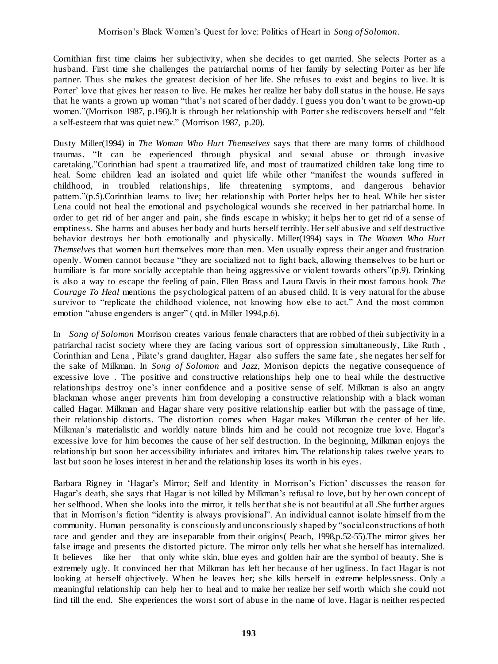Cornithian first time claims her subjectivity, when she decides to get married. She selects Porter as a husband. First time she challenges the patriarchal norms of her family by selecting Porter as her life partner. Thus she makes the greatest decision of her life. She refuses to exist and begins to live. It is Porter' love that gives her reason to live. He makes her realize her baby doll status in the house. He says that he wants a grown up woman "that's not scared of her daddy. I guess you don't want to be grown-up women."(Morrison 1987, p.196).It is through her relationship with Porter she rediscovers herself and "felt a self-esteem that was quiet new." (Morrison 1987, p.20).

Dusty Miller(1994) in *The Woman Who Hurt Themselves* says that there are many forms of childhood traumas. "It can be experienced through physical and sexual abuse or through invasive caretaking."Corinthian had spent a traumatized life, and most of traumatized children take long time to heal. Some children lead an isolated and quiet life while other "manifest the wounds suffered in childhood, in troubled relationships, life threatening symptoms, and dangerous behavior pattern."(p.5).Corinthian learns to live; her relationship with Porter helps her to heal. While her sister Lena could not heal the emotional and psychological wounds she received in her patriarchal home. In order to get rid of her anger and pain, she finds escape in whisky; it helps her to get rid of a sense of emptiness. She harms and abuses her body and hurts herself terribly. Her self abusive and self destructive behavior destroys her both emotionally and physically. Miller(1994) says in *The Women Who Hurt Themselves* that women hurt themselves more than men. Men usually express their anger and frustration openly. Women cannot because "they are socialized not to fight back, allowing themselves to be hurt or humiliate is far more socially acceptable than being aggressive or violent towards others"(p.9). Drinking is also a way to escape the feeling of pain. Ellen Brass and Laura Davis in their most famous book *The Courage To Heal* mentions the psychological pattern of an abused child. It is very natural for the abuse survivor to "replicate the childhood violence, not knowing how else to act." And the most common emotion "abuse engenders is anger" (qtd. in Miller 1994,p.6).

In *Song of Solomon* Morrison creates various female characters that are robbed of their subjectivity in a patriarchal racist society where they are facing various sort of oppression simultaneously, Like Ruth , Corinthian and Lena , Pilate's grand daughter, Hagar also suffers the same fate , she negates her self for the sake of Milkman. In *Song of Solomon* and *Jazz*, Morrison depicts the negative consequence of excessive love . The positive and constructive relationships help one to heal while the destructive relationships destroy one's inner confidence and a positive sense of self. Milkman is also an angry blackman whose anger prevents him from developing a constructive relationship with a black woman called Hagar. Milkman and Hagar share very positive relationship earlier but with the passage of time, their relationship distorts. The distortion comes when Hagar makes Milkman the center of her life. Milkman's materialistic and worldly nature blinds him and he could not recognize true love. Hagar's excessive love for him becomes the cause of her self destruction. In the beginning, Milkman enjoys the relationship but soon her accessibility infuriates and irritates him. The relationship takes twelve years to last but soon he loses interest in her and the relationship loses its worth in his eyes.

Barbara Rigney in 'Hagar's Mirror; Self and Identity in Morrison's Fiction' discusses the reason for Hagar's death, she says that Hagar is not killed by Milkman's refusal to love, but by her own concept of her selfhood. When she looks into the mirror, it tells her that she is not beautiful at all .She further argues that in Morrison's fiction "identity is always provisional". An individual cannot isolate himself fro m the community. Human personality is consciously and unconsciously shaped by "social constructions of both race and gender and they are inseparable from their origins( Peach, 1998,p.52-55).The mirror gives her false image and presents the distorted picture. The mirror only tells her what she herself has internalized. It believes like her that only white skin, blue eyes and golden hair are the symbol of beauty. She is extremely ugly. It convinced her that Milkman has left her because of her ugliness. In fact Hagar is not looking at herself objectively. When he leaves her; she kills herself in extreme helplessness. Only a meaningful relationship can help her to heal and to make her realize her self worth which she could not find till the end. She experiences the worst sort of abuse in the name of love. Hagar is neither respected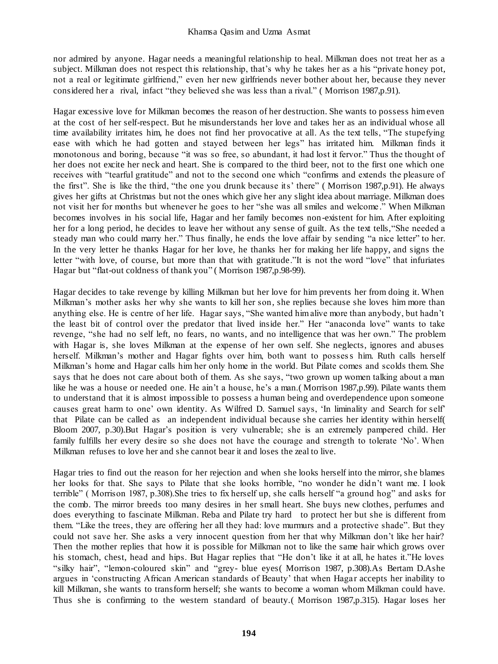nor admired by anyone. Hagar needs a meaningful relationship to heal. Milkman does not treat her as a subject. Milkman does not respect this relationship, that's why he takes her as a his "private honey pot, not a real or legitimate girlfriend," even her new girlfriends never bother about her, because they never considered her a rival, infact "they believed she was less than a rival." ( Morrison 1987,p.91).

Hagar excessive love for Milkman becomes the reason of her destruction. She wants to possess him even at the cost of her self-respect. But he misunderstands her love and takes her as an individual whose all time availability irritates him, he does not find her provocative at all. As the text tells, "The stupefying ease with which he had gotten and stayed between her legs" has irritated him. Milkman finds it monotonous and boring, because "it was so free, so abundant, it had lost it fervor." Thus the thought of her does not excite her neck and heart. She is compared to the third beer, not to the first one which one receives with "tearful gratitude" and not to the second one which "confirms and extends the pleasure of the first". She is like the third, "the one you drunk because its' there" ( Morrison 1987,p.91). He always gives her gifts at Christmas but not the ones which give her any slight idea about marriage. Milkman does not visit her for months but whenever he goes to her "she was all smiles and welcome ." When Milkman becomes involves in his social life, Hagar and her family becomes non-existent for him. After exploiting her for a long period, he decides to leave her without any sense of guilt. As the text tells,"She needed a steady man who could marry her." Thus finally, he ends the love affair by sending "a nice letter" to her. In the very letter he thanks Hagar for her love, he thanks her for making her life happy, and signs the letter "with love, of course, but more than that with gratitude."It is not the word "love" that infuriates Hagar but "flat-out coldness of thank you" ( Morrison 1987,p.98-99).

Hagar decides to take revenge by killing Milkman but her love for him prevents her from doing it. When Milkman's mother asks her why she wants to kill her son, she replies because she loves him more than anything else. He is centre of her life. Hagar says, "She wanted him alive more than anybody, but hadn't the least bit of control over the predator that lived inside her." Her "anaconda love" wants to take revenge, "she had no self left, no fears, no wants, and no intelligence that was her own." The problem with Hagar is, she loves Milkman at the expense of her own self. She neglects, ignores and abuses herself. Milkman's mother and Hagar fights over him, both want to possess him. Ruth calls herself Milkman's home and Hagar calls him her only home in the world. But Pilate comes and scolds them. She says that he does not care about both of them. As she says, "two grown up women talking about a man like he was a house or needed one. He ain't a house, he's a man.( Morrison 1987,p.99). Pilate wants them to understand that it is almost impossible to possess a human being and overdependence upon someone causes great harm to one' own identity. As Wilfred D. Samuel says, 'In liminality and Search for self' that Pilate can be called as an independent individual because she carries her identity within herself( Bloom 2007, p.30).But Hagar's position is very vulnerable; she is an extremely pampered child. Her family fulfills her every desire so she does not have the courage and strength to tolerate 'No'. When Milkman refuses to love her and she cannot bear it and loses the zeal to live.

Hagar tries to find out the reason for her rejection and when she looks herself into the mirror, she blames her looks for that. She says to Pilate that she looks horrible, "no wonder he did n't want me. I look terrible" ( Morrison 1987, p.308).She tries to fix herself up, she calls herself "a ground hog" and asks for the comb. The mirror breeds too many desires in her small heart. She buys new clothes, perfumes and does everything to fascinate Milkman. Reba and Pilate try hard to protect her but she is different from them. "Like the trees, they are offering her all they had: love murmurs and a protective shade". But they could not save her. She asks a very innocent question from her that why Milkman don't like her hair? Then the mother replies that how it is possible for Milkman not to like the same hair which grows over his stomach, chest, head and hips. But Hagar replies that "He don't like it at all, he hates it."He loves "silky hair", "lemon-coloured skin" and "grey- blue eyes( Morrison 1987, p.308).As Bertam D.Ashe argues in 'constructing African American standards of Beauty' that when Hagar accepts her inability to kill Milkman, she wants to transform herself; she wants to become a woman whom Milkman could have. Thus she is confirming to the western standard of beauty.( Morrison 1987,p.315). Hagar loses her